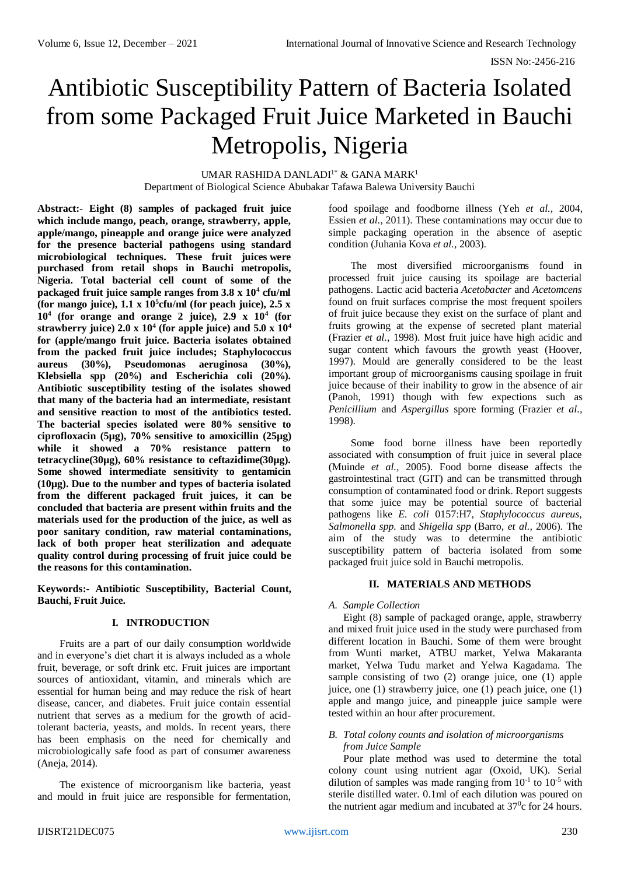# Antibiotic Susceptibility Pattern of Bacteria Isolated from some Packaged Fruit Juice Marketed in Bauchi Metropolis, Nigeria

UMAR RASHIDA DANLADI<sup>1\*</sup> & GANA MARK<sup>1</sup> Department of Biological Science Abubakar Tafawa Balewa University Bauchi

**Abstract:- Eight (8) samples of packaged fruit juice which include mango, peach, orange, strawberry, apple, apple/mango, pineapple and orange juice were analyzed for the presence bacterial pathogens using standard microbiological techniques. These fruit juices were purchased from retail shops in Bauchi metropolis, Nigeria. Total bacterial cell count of some of the packaged fruit juice sample ranges from 3.8 x 10<sup>4</sup> cfu/ml**  (for mango juice),  $1.1 \times 10^5$  cfu/ml (for peach juice),  $2.5 \times 10^5$ **10<sup>4</sup> (for orange and orange 2 juice), 2.9 x 10<sup>4</sup> (for strawberry juice) 2.0 x 10<sup>4</sup> (for apple juice) and 5.0 x 10<sup>4</sup> for (apple/mango fruit juice. Bacteria isolates obtained from the packed fruit juice includes; Staphylococcus aureus (30%), Pseudomonas aeruginosa (30%), Klebsiella spp (20%) and Escherichia coli (20%). Antibiotic susceptibility testing of the isolates showed that many of the bacteria had an intermediate, resistant and sensitive reaction to most of the antibiotics tested. The bacterial species isolated were 80% sensitive to ciprofloxacin (5µg), 70% sensitive to amoxicillin (25µg) while it showed a 70% resistance pattern to tetracycline(30µg), 60% resistance to ceftazidime(30µg). Some showed intermediate sensitivity to gentamicin (10µg). Due to the number and types of bacteria isolated from the different packaged fruit juices, it can be concluded that bacteria are present within fruits and the materials used for the production of the juice, as well as poor sanitary condition, raw material contaminations, lack of both proper heat sterilization and adequate quality control during processing of fruit juice could be the reasons for this contamination.**

**Keywords:- Antibiotic Susceptibility, Bacterial Count, Bauchi, Fruit Juice.**

# **I. INTRODUCTION**

Fruits are a part of our daily consumption worldwide and in everyone's diet chart it is always included as a whole fruit, beverage, or soft drink etc. Fruit juices are important sources of antioxidant, vitamin, and minerals which are essential for human being and may reduce the risk of heart disease, cancer, and diabetes. Fruit juice contain essential nutrient that serves as a medium for the growth of acidtolerant bacteria, yeasts, and molds. In recent years, there has been emphasis on the need for chemically and microbiologically safe food as part of consumer awareness (Aneja, 2014).

The existence of microorganism like bacteria, yeast and mould in fruit juice are responsible for fermentation, food spoilage and foodborne illness (Yeh *et al.,* 2004, Essien *et al.,* 2011). These contaminations may occur due to simple packaging operation in the absence of aseptic condition (Juhania Kova *et al.,* 2003).

The most diversified microorganisms found in processed fruit juice causing its spoilage are bacterial pathogens. Lactic acid bacteria *Acetobacter* and *Acetomcens* found on fruit surfaces comprise the most frequent spoilers of fruit juice because they exist on the surface of plant and fruits growing at the expense of secreted plant material (Frazier *et al.,* 1998). Most fruit juice have high acidic and sugar content which favours the growth yeast (Hoover, 1997). Mould are generally considered to be the least important group of microorganisms causing spoilage in fruit juice because of their inability to grow in the absence of air (Panoh, 1991) though with few expections such as *Penicillium* and *Aspergillus* spore forming (Frazier *et al.,* 1998).

Some food borne illness have been reportedly associated with consumption of fruit juice in several place (Muinde *et al.,* 2005). Food borne disease affects the gastrointestinal tract (GIT) and can be transmitted through consumption of contaminated food or drink. Report suggests that some juice may be potential source of bacterial pathogens like *E. coli* 0157:H7, *Staphylococcus aureus*, *Salmonella spp.* and *Shigella spp* (Barro, *et al.,* 2006). The aim of the study was to determine the antibiotic susceptibility pattern of bacteria isolated from some packaged fruit juice sold in Bauchi metropolis.

# **II. MATERIALS AND METHODS**

# *A. Sample Collection*

Eight (8) sample of packaged orange, apple, strawberry and mixed fruit juice used in the study were purchased from different location in Bauchi. Some of them were brought from Wunti market, ATBU market, Yelwa Makaranta market, Yelwa Tudu market and Yelwa Kagadama. The sample consisting of two (2) orange juice, one (1) apple juice, one (1) strawberry juice, one (1) peach juice, one (1) apple and mango juice, and pineapple juice sample were tested within an hour after procurement.

# *B. Total colony counts and isolation of microorganisms from Juice Sample*

Pour plate method was used to determine the total colony count using nutrient agar (Oxoid, UK). Serial dilution of samples was made ranging from  $10^{-1}$  to  $10^{-5}$  with sterile distilled water. 0.1ml of each dilution was poured on the nutrient agar medium and incubated at  $37^{\circ}$ c for 24 hours.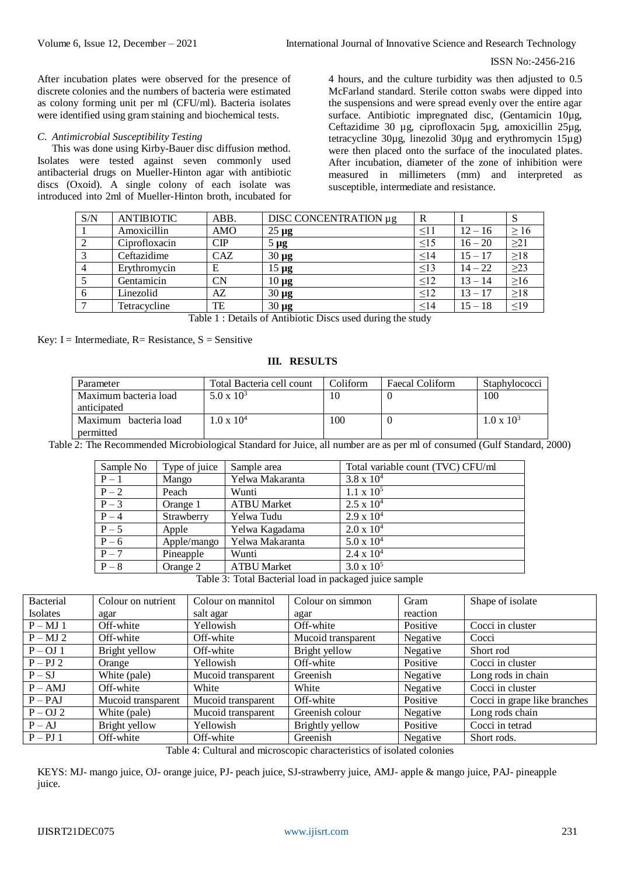## ISSN No:-2456-216

After incubation plates were observed for the presence of discrete colonies and the numbers of bacteria were estimated as colony forming unit per ml (CFU/ml). Bacteria isolates were identified using gram staining and biochemical tests.

## *C. Antimicrobial Susceptibility Testing*

This was done using Kirby-Bauer disc diffusion method. Isolates were tested against seven commonly used antibacterial drugs on Mueller-Hinton agar with antibiotic discs (Oxoid). A single colony of each isolate was introduced into 2ml of Mueller-Hinton broth, incubated for 4 hours, and the culture turbidity was then adjusted to 0.5 McFarland standard. Sterile cotton swabs were dipped into the suspensions and were spread evenly over the entire agar surface. Antibiotic impregnated disc, (Gentamicin 10µg, Ceftazidime 30 µg, ciprofloxacin 5µg, amoxicillin 25µg, tetracycline 30µg, linezolid 30µg and erythromycin 15µg) were then placed onto the surface of the inoculated plates. After incubation, diameter of the zone of inhibition were measured in millimeters (mm) and interpreted as susceptible, intermediate and resistance.

| S/N            | <b>ANTIBIOTIC</b> | ABB.          | DISC CONCENTRATION µg | R         |           | <sub>S</sub> |
|----------------|-------------------|---------------|-----------------------|-----------|-----------|--------------|
|                | Amoxicillin       | <b>AMO</b>    | $25 \mu g$            | $\leq11$  | $12 - 16$ | $\geq 16$    |
| 2              | Ciprofloxacin     | $\mathbf{CP}$ | $5 \mu g$             | $\leq15$  | $16 - 20$ | $\geq$ 21    |
| 3              | Ceftazidime       | <b>CAZ</b>    | $30 \mu g$            | <14       | $15 - 17$ | $\geq$ 18    |
| $\overline{4}$ | Erythromycin      | E             | $15 \mu g$            | $\leq$ 13 | $14 - 22$ | $\geq$ 23    |
|                | Gentamicin        | CN            | $10 \mu g$            | $\leq$ 12 | $13 - 14$ | $\geq 16$    |
| 6              | Linezolid         | AZ            | $30 \mu g$            | $\leq$ 12 | $13 - 17$ | $\geq$ 18    |
|                | Tetracycline      | TE            | $30 \mu g$            | <14       | $15 - 18$ | $\leq$ 19    |

Table 1 : Details of Antibiotic Discs used during the study

Key: I = Intermediate,  $R =$  Resistance,  $S =$  Sensitive

# **III. RESULTS**

| Parameter                | Total Bacteria cell count | Coliform | Faecal Coliform | <b>Staphylococci</b> |
|--------------------------|---------------------------|----------|-----------------|----------------------|
| Maximum bacteria load    | $5.0 \times 10^3$         |          |                 | 100                  |
| anticipated              |                           |          |                 |                      |
| Maximum<br>bacteria load | $.0 \times 10^{4}$        | 100      |                 | $1.0 \times 10^3$    |
| permitted                |                           |          |                 |                      |

Table 2: The Recommended Microbiological Standard for Juice, all number are as per ml of consumed (Gulf Standard, 2000)

| Type of juice | Sample area        | Total variable count (TVC) CFU/ml |
|---------------|--------------------|-----------------------------------|
| Mango         | Yelwa Makaranta    | $3.8 \times 10^{4}$               |
| Peach         | Wunti              | $1.1 \times 10^5$                 |
| Orange 1      | <b>ATBU Market</b> | $2.5 \times 10^{4}$               |
| Strawberry    | Yelwa Tudu         | $2.9 \times 10^{4}$               |
| Apple         | Yelwa Kagadama     | $2.0 \times 10^{4}$               |
| Apple/mango   | Yelwa Makaranta    | $5.0 \times 10^{4}$               |
| Pineapple     | Wunti              | $2.4 \times 10^{4}$               |
| Orange 2      | <b>ATBU Market</b> | $3.0 \times 10^5$                 |
|               |                    |                                   |

Table 3: Total Bacterial load in packaged juice sample

| <b>Bacterial</b> | Colour on nutrient | Colour on mannitol | Colour on simmon   | Gram     | Shape of isolate             |
|------------------|--------------------|--------------------|--------------------|----------|------------------------------|
| <b>Isolates</b>  | agar               | salt agar          | agar               | reaction |                              |
| $P - MJ$ 1       | Off-white          | Yellowish          | Off-white          | Positive | Cocci in cluster             |
| $P - MJ$ 2       | Off-white          | Off-white          | Mucoid transparent | Negative | Cocci                        |
| $P - OJ$ 1       | Bright yellow      | Off-white          | Bright yellow      | Negative | Short rod                    |
| $P - PJ$ 2       | Orange             | Yellowish          | Off-white          | Positive | Cocci in cluster             |
| $P-SJ$           | White (pale)       | Mucoid transparent | Greenish           | Negative | Long rods in chain           |
| $P - AMJ$        | Off-white          | White              | White              | Negative | Cocci in cluster             |
| $P - PAJ$        | Mucoid transparent | Mucoid transparent | Off-white          | Positive | Cocci in grape like branches |
| $P - OJ$ 2       | White (pale)       | Mucoid transparent | Greenish colour    | Negative | Long rods chain              |
| $P - AJ$         | Bright yellow      | Yellowish          | Brightly yellow    | Positive | Cocci in tetrad              |
| $P - PJ$ 1       | Off-white          | Off-white          | Greenish           | Negative | Short rods.                  |

Table 4: Cultural and microscopic characteristics of isolated colonies

KEYS: MJ- mango juice, OJ- orange juice, PJ- peach juice, SJ-strawberry juice, AMJ- apple & mango juice, PAJ- pineapple juice.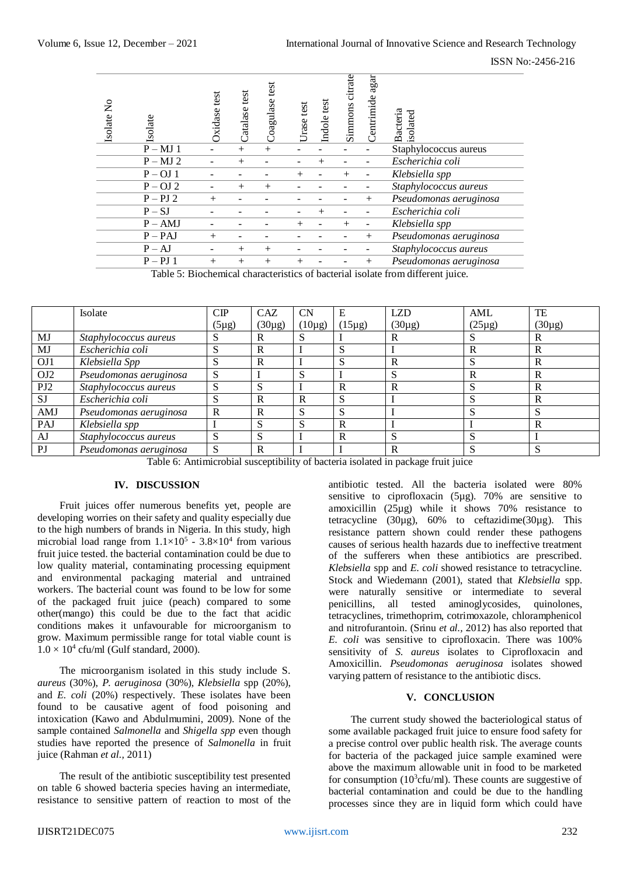ISSN No:-2456-216

| Isolate No | Isolate    | test<br>Oxidase | Catalase test | test<br>Coagulase | Urase test | Indole test | citrate<br>Simmons | agar<br>Centrimide | Bacteria<br>isolated   |
|------------|------------|-----------------|---------------|-------------------|------------|-------------|--------------------|--------------------|------------------------|
|            | $P - MJ$ 1 |                 | $^{+}$        | $^{+}$            |            |             |                    |                    | Staphylococcus aureus  |
|            | $P - MJ$ 2 |                 | $^{+}$        |                   |            | $+$         |                    |                    | Escherichia coli       |
|            | $P - OJ$ 1 |                 |               |                   | $^{+}$     |             | $^{+}$             |                    | Klebsiella spp         |
|            | $P - OJ$ 2 |                 | $^{+}$        | $^{+}$            |            |             |                    |                    | Staphylococcus aureus  |
|            | $P - PJ$ 2 | $^{+}$          |               |                   |            |             |                    | $^{+}$             | Pseudomonas aeruginosa |
|            | $P-SJ$     |                 |               |                   |            | $+$         |                    |                    | Escherichia coli       |
|            | $P - AMJ$  |                 |               |                   | $^{+}$     |             | $^{+}$             |                    | Klebsiella spp         |
|            | $P - PAJ$  | $+$             |               |                   |            |             |                    | $^{+}$             | Pseudomonas aeruginosa |
|            | $P - AJ$   |                 | $^{+}$        | $^{+}$            |            |             |                    |                    | Staphylococcus aureus  |
|            | $P - PJ$ 1 | $^{+}$          | $^{+}$        | $^{+}$            | $^{+}$     |             |                    | $^{+}$             | Pseudomonas aeruginosa |
|            |            |                 |               |                   |            |             |                    |                    |                        |

|                                                                                                                                                                                                                                                                                                                                                                                                                                                                                                                                                                                                                                                                                                                                                                                                                                                                                                                                                                                                                                                                                                                                                                                                                                                                                                                                                                                                                                                                                                                                                                                                                                                                                                                                                                                                                                                                                                                                                                                                                                                                                                                                                                                                                                                     | Isolate No<br>Isolate<br>$\overline{P} - MJ$ 1 | Catalase test<br>Oxidase test<br>$^{+}$ | Coagulase test<br>$\boldsymbol{+}$ | Urase test       | Indole test      | Simmons citrate | Centrimide agar       | Bacteria<br>isolated<br>Staphylococcus aureus                                                                                                                                                                                                                                                                                                                                                                                                                                                              |                      |                                    |
|-----------------------------------------------------------------------------------------------------------------------------------------------------------------------------------------------------------------------------------------------------------------------------------------------------------------------------------------------------------------------------------------------------------------------------------------------------------------------------------------------------------------------------------------------------------------------------------------------------------------------------------------------------------------------------------------------------------------------------------------------------------------------------------------------------------------------------------------------------------------------------------------------------------------------------------------------------------------------------------------------------------------------------------------------------------------------------------------------------------------------------------------------------------------------------------------------------------------------------------------------------------------------------------------------------------------------------------------------------------------------------------------------------------------------------------------------------------------------------------------------------------------------------------------------------------------------------------------------------------------------------------------------------------------------------------------------------------------------------------------------------------------------------------------------------------------------------------------------------------------------------------------------------------------------------------------------------------------------------------------------------------------------------------------------------------------------------------------------------------------------------------------------------------------------------------------------------------------------------------------------------|------------------------------------------------|-----------------------------------------|------------------------------------|------------------|------------------|-----------------|-----------------------|------------------------------------------------------------------------------------------------------------------------------------------------------------------------------------------------------------------------------------------------------------------------------------------------------------------------------------------------------------------------------------------------------------------------------------------------------------------------------------------------------------|----------------------|------------------------------------|
|                                                                                                                                                                                                                                                                                                                                                                                                                                                                                                                                                                                                                                                                                                                                                                                                                                                                                                                                                                                                                                                                                                                                                                                                                                                                                                                                                                                                                                                                                                                                                                                                                                                                                                                                                                                                                                                                                                                                                                                                                                                                                                                                                                                                                                                     | $P - MJ$ 2                                     | $^{+}$                                  |                                    |                  | $^{+}$           |                 | $\frac{1}{2}$         | Escherichia coli                                                                                                                                                                                                                                                                                                                                                                                                                                                                                           |                      |                                    |
|                                                                                                                                                                                                                                                                                                                                                                                                                                                                                                                                                                                                                                                                                                                                                                                                                                                                                                                                                                                                                                                                                                                                                                                                                                                                                                                                                                                                                                                                                                                                                                                                                                                                                                                                                                                                                                                                                                                                                                                                                                                                                                                                                                                                                                                     | $P - OJ$ 1<br>$P - OJ$ 2                       |                                         |                                    | $^{+}$           |                  | $^{+}$          | $\frac{1}{2}$         | Klebsiella spp                                                                                                                                                                                                                                                                                                                                                                                                                                                                                             |                      |                                    |
|                                                                                                                                                                                                                                                                                                                                                                                                                                                                                                                                                                                                                                                                                                                                                                                                                                                                                                                                                                                                                                                                                                                                                                                                                                                                                                                                                                                                                                                                                                                                                                                                                                                                                                                                                                                                                                                                                                                                                                                                                                                                                                                                                                                                                                                     | $P - PJ$ 2                                     | $^{+}$<br>$^{+}$                        | $^{+}$                             |                  |                  |                 | $\blacksquare$<br>$+$ | Staphylococcus aureus<br>Pseudomonas aeruginosa                                                                                                                                                                                                                                                                                                                                                                                                                                                            |                      |                                    |
|                                                                                                                                                                                                                                                                                                                                                                                                                                                                                                                                                                                                                                                                                                                                                                                                                                                                                                                                                                                                                                                                                                                                                                                                                                                                                                                                                                                                                                                                                                                                                                                                                                                                                                                                                                                                                                                                                                                                                                                                                                                                                                                                                                                                                                                     | $P-SJ$                                         |                                         |                                    |                  | $^{+}$           |                 | $\frac{1}{2}$         | Escherichia coli                                                                                                                                                                                                                                                                                                                                                                                                                                                                                           |                      |                                    |
|                                                                                                                                                                                                                                                                                                                                                                                                                                                                                                                                                                                                                                                                                                                                                                                                                                                                                                                                                                                                                                                                                                                                                                                                                                                                                                                                                                                                                                                                                                                                                                                                                                                                                                                                                                                                                                                                                                                                                                                                                                                                                                                                                                                                                                                     | $P - AMJ$                                      |                                         |                                    | $^{+}$           |                  | $^{+}$          | $\Box$                | Klebsiella spp                                                                                                                                                                                                                                                                                                                                                                                                                                                                                             |                      |                                    |
|                                                                                                                                                                                                                                                                                                                                                                                                                                                                                                                                                                                                                                                                                                                                                                                                                                                                                                                                                                                                                                                                                                                                                                                                                                                                                                                                                                                                                                                                                                                                                                                                                                                                                                                                                                                                                                                                                                                                                                                                                                                                                                                                                                                                                                                     | $P - PAJ$                                      | $^{+}$                                  |                                    |                  |                  |                 | $^{+}$                | Pseudomonas aeruginosa                                                                                                                                                                                                                                                                                                                                                                                                                                                                                     |                      |                                    |
|                                                                                                                                                                                                                                                                                                                                                                                                                                                                                                                                                                                                                                                                                                                                                                                                                                                                                                                                                                                                                                                                                                                                                                                                                                                                                                                                                                                                                                                                                                                                                                                                                                                                                                                                                                                                                                                                                                                                                                                                                                                                                                                                                                                                                                                     | $P - AJ$<br>$P - PJ$ 1                         | $^{+}$<br>$+$<br>$+$                    | $^{+}$<br>$\ddot{}$                | $^{+}$           |                  |                 | $\frac{1}{2}$<br>$+$  | Staphylococcus aureus<br>Pseudomonas aeruginosa                                                                                                                                                                                                                                                                                                                                                                                                                                                            |                      |                                    |
|                                                                                                                                                                                                                                                                                                                                                                                                                                                                                                                                                                                                                                                                                                                                                                                                                                                                                                                                                                                                                                                                                                                                                                                                                                                                                                                                                                                                                                                                                                                                                                                                                                                                                                                                                                                                                                                                                                                                                                                                                                                                                                                                                                                                                                                     |                                                |                                         |                                    |                  |                  |                 |                       | Table 5: Biochemical characteristics of bacterial isolate from different juice.                                                                                                                                                                                                                                                                                                                                                                                                                            |                      |                                    |
|                                                                                                                                                                                                                                                                                                                                                                                                                                                                                                                                                                                                                                                                                                                                                                                                                                                                                                                                                                                                                                                                                                                                                                                                                                                                                                                                                                                                                                                                                                                                                                                                                                                                                                                                                                                                                                                                                                                                                                                                                                                                                                                                                                                                                                                     |                                                |                                         |                                    |                  |                  |                 |                       |                                                                                                                                                                                                                                                                                                                                                                                                                                                                                                            |                      |                                    |
|                                                                                                                                                                                                                                                                                                                                                                                                                                                                                                                                                                                                                                                                                                                                                                                                                                                                                                                                                                                                                                                                                                                                                                                                                                                                                                                                                                                                                                                                                                                                                                                                                                                                                                                                                                                                                                                                                                                                                                                                                                                                                                                                                                                                                                                     |                                                |                                         |                                    |                  |                  |                 |                       |                                                                                                                                                                                                                                                                                                                                                                                                                                                                                                            |                      |                                    |
|                                                                                                                                                                                                                                                                                                                                                                                                                                                                                                                                                                                                                                                                                                                                                                                                                                                                                                                                                                                                                                                                                                                                                                                                                                                                                                                                                                                                                                                                                                                                                                                                                                                                                                                                                                                                                                                                                                                                                                                                                                                                                                                                                                                                                                                     | Isolate                                        | $\mathbf{CP}$                           | CAZ                                | CN               | E                |                 |                       | <b>LZD</b>                                                                                                                                                                                                                                                                                                                                                                                                                                                                                                 | AML                  | TE                                 |
|                                                                                                                                                                                                                                                                                                                                                                                                                                                                                                                                                                                                                                                                                                                                                                                                                                                                                                                                                                                                                                                                                                                                                                                                                                                                                                                                                                                                                                                                                                                                                                                                                                                                                                                                                                                                                                                                                                                                                                                                                                                                                                                                                                                                                                                     |                                                | $(5\mu g)$                              | $(30\mu g)$                        | $(10\mu g)$      |                  | $(15\mu g)$     |                       | $(30\mu g)$                                                                                                                                                                                                                                                                                                                                                                                                                                                                                                | $(25\mu g)$          | $(30\mu g)$                        |
| MJ<br>$\mathbf{M}\mathbf{J}$                                                                                                                                                                                                                                                                                                                                                                                                                                                                                                                                                                                                                                                                                                                                                                                                                                                                                                                                                                                                                                                                                                                                                                                                                                                                                                                                                                                                                                                                                                                                                                                                                                                                                                                                                                                                                                                                                                                                                                                                                                                                                                                                                                                                                        | Staphylococcus aureus<br>Escherichia coli      | ${\bf S}$<br>S                          | $\mathbb{R}$<br>$\mathbb{R}$       | S<br>$\mathbf I$ | I<br>S           |                 |                       | $\mathbf R$<br>$\bf I$                                                                                                                                                                                                                                                                                                                                                                                                                                                                                     | S<br>$\mathbf R$     | $\mathbb{R}$<br>${\bf R}$          |
| OJ1                                                                                                                                                                                                                                                                                                                                                                                                                                                                                                                                                                                                                                                                                                                                                                                                                                                                                                                                                                                                                                                                                                                                                                                                                                                                                                                                                                                                                                                                                                                                                                                                                                                                                                                                                                                                                                                                                                                                                                                                                                                                                                                                                                                                                                                 | Klebsiella Spp                                 | S                                       | ${\bf R}$                          | I                | S                |                 |                       | $\overline{\text{R}}$                                                                                                                                                                                                                                                                                                                                                                                                                                                                                      | ${\bf S}$            | $\overline{\text{R}}$              |
| OJ2                                                                                                                                                                                                                                                                                                                                                                                                                                                                                                                                                                                                                                                                                                                                                                                                                                                                                                                                                                                                                                                                                                                                                                                                                                                                                                                                                                                                                                                                                                                                                                                                                                                                                                                                                                                                                                                                                                                                                                                                                                                                                                                                                                                                                                                 | Pseudomonas aeruginosa                         | S                                       | $\mathbf I$                        | S                | $\bf I$          |                 |                       | S                                                                                                                                                                                                                                                                                                                                                                                                                                                                                                          | $\mathbf R$          | $\mathbf R$                        |
| PJ2                                                                                                                                                                                                                                                                                                                                                                                                                                                                                                                                                                                                                                                                                                                                                                                                                                                                                                                                                                                                                                                                                                                                                                                                                                                                                                                                                                                                                                                                                                                                                                                                                                                                                                                                                                                                                                                                                                                                                                                                                                                                                                                                                                                                                                                 | Staphylococcus aureus                          | S                                       | S                                  | $\mathbf I$      | ${\bf R}$        |                 |                       | $\overline{\text{R}}$                                                                                                                                                                                                                                                                                                                                                                                                                                                                                      | ${\bf S}$            | $\overline{\text{R}}$              |
| $\rm{SJ}$                                                                                                                                                                                                                                                                                                                                                                                                                                                                                                                                                                                                                                                                                                                                                                                                                                                                                                                                                                                                                                                                                                                                                                                                                                                                                                                                                                                                                                                                                                                                                                                                                                                                                                                                                                                                                                                                                                                                                                                                                                                                                                                                                                                                                                           | Escherichia coli                               | $\overline{S}$                          | $\mathbb{R}$                       | $\mathbf R$      | S                |                 |                       | I                                                                                                                                                                                                                                                                                                                                                                                                                                                                                                          | S                    | $\overline{\text{R}}$              |
| AMJ                                                                                                                                                                                                                                                                                                                                                                                                                                                                                                                                                                                                                                                                                                                                                                                                                                                                                                                                                                                                                                                                                                                                                                                                                                                                                                                                                                                                                                                                                                                                                                                                                                                                                                                                                                                                                                                                                                                                                                                                                                                                                                                                                                                                                                                 | Pseudomonas aeruginosa                         | $\mathbf R$                             | $\mathbb{R}$<br>S                  | S<br>S           | S<br>$\mathbf R$ |                 |                       | $\mathbf I$<br>$\mathbf I$                                                                                                                                                                                                                                                                                                                                                                                                                                                                                 | ${\bf S}$<br>$\bf I$ | ${\bf S}$<br>$\overline{\text{R}}$ |
| PAJ<br>${\rm AJ}$                                                                                                                                                                                                                                                                                                                                                                                                                                                                                                                                                                                                                                                                                                                                                                                                                                                                                                                                                                                                                                                                                                                                                                                                                                                                                                                                                                                                                                                                                                                                                                                                                                                                                                                                                                                                                                                                                                                                                                                                                                                                                                                                                                                                                                   | Klebsiella spp<br>Staphylococcus aureus        | $\bf{I}$<br>S                           | S                                  | I                | $\mathbf R$      |                 |                       | S                                                                                                                                                                                                                                                                                                                                                                                                                                                                                                          | S                    | I                                  |
| $\mathop{\rm PJ}$                                                                                                                                                                                                                                                                                                                                                                                                                                                                                                                                                                                                                                                                                                                                                                                                                                                                                                                                                                                                                                                                                                                                                                                                                                                                                                                                                                                                                                                                                                                                                                                                                                                                                                                                                                                                                                                                                                                                                                                                                                                                                                                                                                                                                                   | Pseudomonas aeruginosa                         | S                                       | $\overline{R}$                     | T                |                  |                 |                       | $\overline{R}$                                                                                                                                                                                                                                                                                                                                                                                                                                                                                             | S                    | S                                  |
| Table 6: Antimicrobial susceptibility of bacteria isolated in package fruit juice<br>IV. DISCUSSION<br>antibiotic tested. All the bacteria isolated were 80%<br>sensitive to ciprofloxacin (5µg). 70% are sensitive to<br>Fruit juices offer numerous benefits yet, people are<br>amoxicillin $(25\mu g)$ while it shows 70% resistance to<br>developing worries on their safety and quality especially due<br>tetracycline (30 $\mu$ g), 60% to ceftazidime(30 $\mu$ g). This<br>to the high numbers of brands in Nigeria. In this study, high<br>resistance pattern shown could render these pathogens<br>microbial load range from $1.1 \times 10^5$ - $3.8 \times 10^4$ from various<br>causes of serious health hazards due to ineffective treatment<br>fruit juice tested. the bacterial contamination could be due to<br>of the sufferers when these antibiotics are prescribed.<br>low quality material, contaminating processing equipment<br>Klebsiella spp and E. coli showed resistance to tetracycline.<br>and environmental packaging material and untrained<br>Stock and Wiedemann (2001), stated that Klebsiella spp.<br>workers. The bacterial count was found to be low for some<br>were naturally sensitive or intermediate to several<br>of the packaged fruit juice (peach) compared to some<br>penicillins, all tested aminoglycosides, quinolones,<br>other(mango) this could be due to the fact that acidic<br>tetracyclines, trimethoprim, cotrimoxazole, chloramphenicol<br>conditions makes it unfavourable for microorganism to<br>and nitrofurantoin. (Srinu et al., 2012) has also reported that<br>grow. Maximum permissible range for total viable count is<br>E. coli was sensitive to ciprofloxacin. There was 100%<br>$1.0 \times 10^4$ cfu/ml (Gulf standard, 2000).<br>sensitivity of S. aureus isolates to Ciprofloxacin and<br>Amoxicillin. Pseudomonas aeruginosa isolates showed<br>The microorganism isolated in this study include S.<br>varying pattern of resistance to the antibiotic discs.<br>aureus (30%), P. aeruginosa (30%), Klebsiella spp (20%),<br>and $E.$ $\text{coli}$ (20%) respectively. These isolates have been<br>V. CONCLUSION<br>found to be causative agent of food poisoning and |                                                |                                         |                                    |                  |                  |                 |                       |                                                                                                                                                                                                                                                                                                                                                                                                                                                                                                            |                      |                                    |
| intoxication (Kawo and Abdulmumini, 2009). None of the<br>sample contained Salmonella and Shigella spp even though<br>studies have reported the presence of Salmonella in fruit<br>juice (Rahman et al., 2011)<br>The result of the antibiotic susceptibility test presented<br>on table 6 showed bacteria species having an intermediate,<br>resistance to sensitive pattern of reaction to most of the                                                                                                                                                                                                                                                                                                                                                                                                                                                                                                                                                                                                                                                                                                                                                                                                                                                                                                                                                                                                                                                                                                                                                                                                                                                                                                                                                                                                                                                                                                                                                                                                                                                                                                                                                                                                                                            |                                                |                                         |                                    |                  |                  |                 |                       | The current study showed the bacteriological status of<br>some available packaged fruit juice to ensure food safety for<br>a precise control over public health risk. The average counts<br>for bacteria of the packaged juice sample examined were<br>above the maximum allowable unit in food to be marketed<br>for consumption ( $10^3$ cfu/ml). These counts are suggestive of<br>bacterial contamination and could be due to the handling<br>processes since they are in liquid form which could have |                      |                                    |
|                                                                                                                                                                                                                                                                                                                                                                                                                                                                                                                                                                                                                                                                                                                                                                                                                                                                                                                                                                                                                                                                                                                                                                                                                                                                                                                                                                                                                                                                                                                                                                                                                                                                                                                                                                                                                                                                                                                                                                                                                                                                                                                                                                                                                                                     | IJISRT21DEC075                                 |                                         |                                    | www.ijisrt.com   |                  |                 |                       |                                                                                                                                                                                                                                                                                                                                                                                                                                                                                                            |                      | 232                                |

#### **IV. DISCUSSION**

#### **V. CONCLUSION**